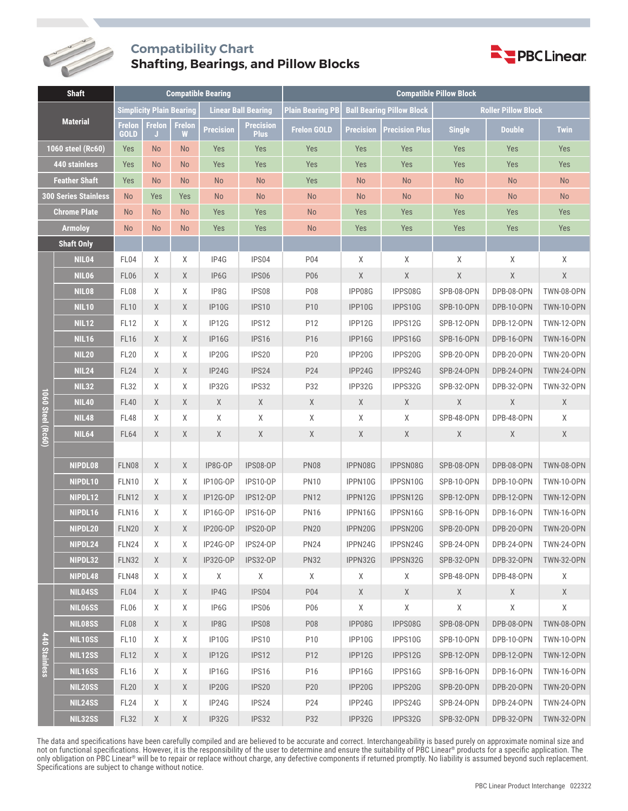

## **Compatibility Chart Shafting, Bearings, and Pillow Blocks**



| <b>Shaft</b>                |                   | <b>Compatible Bearing</b>       |                     |                            |                   |                                 | <b>Compatible Pillow Block</b>   |                  |                            |                   |               |                   |
|-----------------------------|-------------------|---------------------------------|---------------------|----------------------------|-------------------|---------------------------------|----------------------------------|------------------|----------------------------|-------------------|---------------|-------------------|
| <b>Material</b>             |                   | <b>Simplicity Plain Bearing</b> |                     | <b>Linear Ball Bearing</b> |                   | <b>Plain Bearing PB</b>         | <b>Ball Bearing Pillow Block</b> |                  | <b>Roller Pillow Block</b> |                   |               |                   |
|                             |                   | <b>Frelon</b><br><b>GOLD</b>    | <b>Frelon</b><br>IJ | <b>Frelon</b><br>w         | <b>Precision</b>  | <b>Precision</b><br><b>Plus</b> | <b>Frelon GOLD</b>               | <b>Precision</b> | <b>Precision Plus</b>      | <b>Single</b>     | <b>Double</b> | <b>Twin</b>       |
| 1060 steel (Rc60)           |                   | Yes                             | <b>No</b>           | <b>No</b>                  | Yes               | Yes                             | Yes                              | Yes              | Yes                        | Yes               | Yes           | Yes               |
| <b>440 stainless</b>        |                   | Yes                             | <b>No</b>           | <b>No</b>                  | Yes               | Yes                             | Yes                              | Yes              | Yes                        | Yes               | Yes           | Yes               |
| <b>Feather Shaft</b>        |                   | Yes                             | <b>No</b>           | <b>No</b>                  | <b>No</b>         | <b>No</b>                       | Yes                              | <b>No</b>        | <b>No</b>                  | <b>No</b>         | <b>No</b>     | <b>No</b>         |
| <b>300 Series Stainless</b> |                   | <b>No</b>                       | Yes                 | Yes                        | <b>No</b>         | <b>No</b>                       | <b>No</b>                        | <b>No</b>        | <b>No</b>                  | <b>No</b>         | <b>No</b>     | <b>No</b>         |
| <b>Chrome Plate</b>         |                   | <b>No</b>                       | <b>No</b>           | <b>No</b>                  | Yes               | Yes                             | <b>No</b>                        | Yes              | Yes                        | Yes               | Yes           | Yes               |
| <b>Armoloy</b>              |                   | <b>No</b>                       | <b>No</b>           | <b>No</b>                  | Yes               | Yes                             | <b>No</b>                        | Yes              | Yes                        | Yes               | Yes           | Yes               |
|                             | <b>Shaft Only</b> |                                 |                     |                            |                   |                                 |                                  |                  |                            |                   |               |                   |
|                             | <b>NIL04</b>      | FL04                            | Χ                   | Χ                          | IP4G              | IPS04                           | P04                              | Χ                | Χ                          | Χ                 | X             | X                 |
|                             | <b>NIL06</b>      | FL06                            | X                   | Χ                          | IP <sub>6</sub> G | IPS06                           | P06                              | Χ                | $\mathsf X$                | $\mathsf X$       | $\mathsf X$   | $\mathsf X$       |
|                             | <b>NIL08</b>      | FL08                            | Χ                   | Χ                          | IP8G              | IPS08                           | P08                              | IPP08G           | IPPS08G                    | SPB-08-OPN        | DPB-08-OPN    | <b>TWN-08-OPN</b> |
|                             | <b>NIL10</b>      | <b>FL10</b>                     | X                   | X                          | <b>IP10G</b>      | IPS10                           | P10                              | IPP10G           | IPPS10G                    | <b>SPB-10-OPN</b> | DPB-10-OPN    | <b>TWN-10-OPN</b> |
|                             | <b>NIL12</b>      | <b>FL12</b>                     | Χ                   | Χ                          | IP12G             | IPS12                           | P12                              | IPP12G           | IPPS12G                    | SPB-12-OPN        | DPB-12-OPN    | <b>TWN-12-OPN</b> |
| 1060 Steel (Rc60)           | <b>NIL16</b>      | <b>FL16</b>                     | X                   | X                          | IP16G             | IPS16                           | P16                              | IPP16G           | IPPS16G                    | <b>SPB-16-OPN</b> | DPB-16-OPN    | <b>TWN-16-OPN</b> |
|                             | <b>NIL20</b>      | <b>FL20</b>                     | Χ                   | Χ                          | IP20G             | IPS20                           | P20                              | IPP20G           | IPPS20G                    | SPB-20-OPN        | DPB-20-OPN    | <b>TWN-20-OPN</b> |
|                             | <b>NIL24</b>      | FL <sub>24</sub>                | X                   | X                          | IP24G             | IPS24                           | P24                              | IPP24G           | IPPS24G                    | SPB-24-OPN        | DPB-24-OPN    | <b>TWN-24-OPN</b> |
|                             | <b>NIL32</b>      | <b>FL32</b>                     | Χ                   | Χ                          | IP32G             | IPS32                           | P32                              | IPP32G           | IPPS32G                    | SPB-32-OPN        | DPB-32-OPN    | <b>TWN-32-OPN</b> |
|                             | <b>NIL40</b>      | <b>FL40</b>                     | X                   | X                          | X                 | X                               | X                                | X                | X                          | X                 | X             | X                 |
|                             | <b>NIL48</b>      | <b>FL48</b>                     | Χ                   | Χ                          | Χ                 | Χ                               | Χ                                | Χ                | Χ                          | SPB-48-OPN        | DPB-48-OPN    | X                 |
|                             | <b>NIL64</b>      | <b>FL64</b>                     | X                   | X                          | X                 | X                               | X                                | X                | $\mathsf X$                | X                 | X             | X                 |
|                             |                   |                                 |                     |                            |                   |                                 |                                  |                  |                            |                   |               |                   |
|                             | NIPDL08           | FLN08                           | X                   | X                          | IP8G-OP           | <b>IPS08-OP</b>                 | <b>PN08</b>                      | IPPN08G          | IPPSN08G                   | SPB-08-OPN        | DPB-08-OPN    | <b>TWN-08-OPN</b> |
|                             | NIPDL10           | FLN10                           | X                   | Χ                          | IP10G-OP          | <b>IPS10-OP</b>                 | <b>PN10</b>                      | IPPN10G          | IPPSN10G                   | SPB-10-OPN        | DPB-10-OPN    | <b>TWN-10-OPN</b> |
|                             | NIPDL12           | <b>FLN12</b>                    | X                   | X                          | IP12G-OP          | <b>IPS12-OP</b>                 | <b>PN12</b>                      | IPPN12G          | IPPSN12G                   | <b>SPB-12-OPN</b> | DPB-12-OPN    | <b>TWN-12-OPN</b> |
|                             | NIPDL16           | FLN16                           | Χ                   | Χ                          | IP16G-OP          | <b>IPS16-OP</b>                 | <b>PN16</b>                      | IPPN16G          | IPPSN16G                   | SPB-16-OPN        | DPB-16-OPN    | <b>TWN-16-OPN</b> |
|                             | NIPDL20           | <b>FLN20</b>                    | X                   | X                          | IP20G-OP          | IPS20-OP                        | <b>PN20</b>                      | IPPN20G          | IPPSN20G                   | SPB-20-OPN        | DPB-20-OPN    | <b>TWN-20-OPN</b> |
|                             | NIPDL24           | FLN24                           | Χ                   | Χ                          | IP24G-OP          | IPS24-OP                        | <b>PN24</b>                      | IPPN24G          | IPPSN24G                   | SPB-24-OPN        | DPB-24-OPN    | <b>TWN-24-OPN</b> |
|                             | NIPDL32           | <b>FLN32</b>                    | X                   | X                          | IP32G-OP          | <b>IPS32-OP</b>                 | <b>PN32</b>                      | IPPN32G          | IPPSN32G                   | SPB-32-OPN        | DPB-32-OPN    | <b>TWN-32-OPN</b> |
|                             | NIPDL48           | FLN48                           | Χ                   | X                          | Χ                 | X                               | X                                | Χ                | X                          | SPB-48-OPN        | DPB-48-OPN    | Χ                 |
|                             | NIL04SS           | FL04                            | X                   | X                          | IP4G              | IPS04                           | P04                              | X                | X                          | X                 | X             | X                 |
| 440 Stainl<br>less          | <b>NIL06SS</b>    | FL <sub>06</sub>                | Χ                   | Χ                          | IP6G              | IPS06                           | P06                              | X                | X                          | Χ                 | Χ             | X                 |
|                             | <b>NILO8SS</b>    | FL <sub>08</sub>                | X                   | X                          | IP8G              | IPS08                           | P08                              | IPP08G           | IPPS08G                    | SPB-08-OPN        | DPB-08-OPN    | <b>TWN-08-OPN</b> |
|                             | <b>NIL10SS</b>    | <b>FL10</b>                     | Χ                   | X                          | IP10G             | IPS10                           | P10                              | IPP10G           | IPPS10G                    | SPB-10-OPN        | DPB-10-OPN    | <b>TWN-10-OPN</b> |
|                             | <b>NIL12SS</b>    | <b>FL12</b>                     | X                   | X                          | IP12G             | IPS <sub>12</sub>               | P12                              | IPP12G           | IPPS12G                    | <b>SPB-12-OPN</b> | DPB-12-OPN    | <b>TWN-12-OPN</b> |
|                             | <b>NIL16SS</b>    | FL <sub>16</sub>                | Χ                   | X                          | IP16G             | IPS16                           | P16                              | IPP16G           | IPPS16G                    | SPB-16-OPN        | DPB-16-OPN    | <b>TWN-16-OPN</b> |
|                             | <b>NIL20SS</b>    | <b>FL20</b>                     | X                   | X                          | IP20G             | IPS20                           | P20                              | IPP20G           | IPPS20G                    | SPB-20-OPN        | DPB-20-OPN    | <b>TWN-20-OPN</b> |
|                             | <b>NIL24SS</b>    | <b>FL24</b>                     | Χ                   | X                          | IP24G             | IPS24                           | P24                              | IPP24G           | IPPS24G                    | SPB-24-OPN        | DPB-24-OPN    | <b>TWN-24-OPN</b> |
|                             | <b>NIL32SS</b>    | <b>FL32</b>                     | X                   | X                          | IP32G             | IPS32                           | P32                              | IPP32G           | IPPS32G                    | <b>SPB-32-OPN</b> | DPB-32-OPN    | <b>TWN-32-OPN</b> |

The data and specifications have been carefully compiled and are believed to be accurate and correct. Interchangeability is based purely on approximate nominal size and not on functional specifications. However, it is the responsibility of the user to determine and ensure the suitability of PBC Linear® products for a specific application. The only obligation on PBC Linear® will be to repair or replace without charge, any defective components if returned promptly. No liability is assumed beyond such replacement. Specifications are subject to change without notice.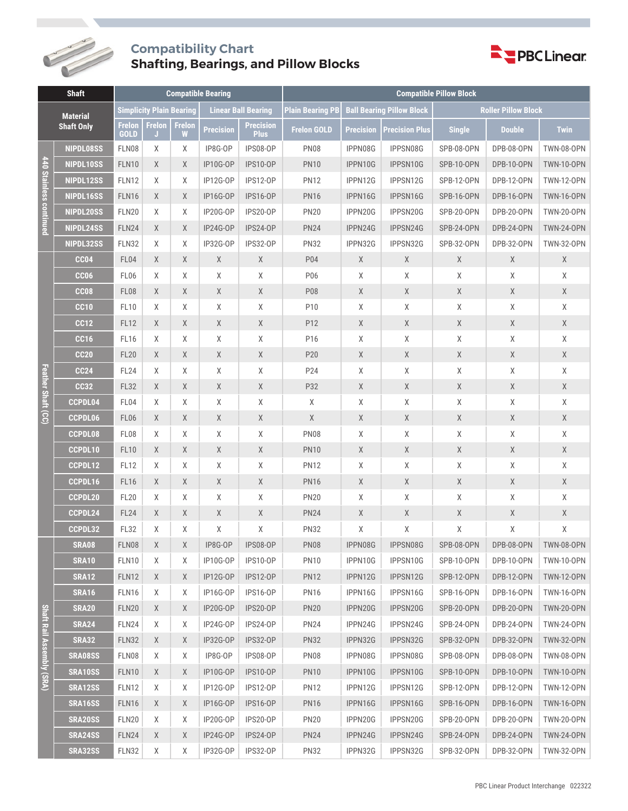

## **Compatibility Chart Shafting, Bearings, and Pillow Blocks**



| <b>Shaft</b>                         |                  | <b>Compatible Bearing</b>       |                     |             |                            |                                 | <b>Compatible Pillow Block</b> |                  |                                  |                            |                       |                   |
|--------------------------------------|------------------|---------------------------------|---------------------|-------------|----------------------------|---------------------------------|--------------------------------|------------------|----------------------------------|----------------------------|-----------------------|-------------------|
| <b>Material</b><br><b>Shaft Only</b> |                  | <b>Simplicity Plain Bearing</b> |                     |             | <b>Linear Ball Bearing</b> |                                 | <b>Plain Bearing PB</b>        |                  | <b>Ball Bearing Pillow Block</b> | <b>Roller Pillow Block</b> |                       |                   |
|                                      |                  | <b>Frelon</b><br><b>GOLD</b>    | <b>Frelon</b><br>J. | Frelon<br>W | <b>Precision</b>           | <b>Precision</b><br><b>Plus</b> | <b>Frelon GOLD</b>             | <b>Precision</b> | <b>Precision Plus</b>            | <b>Single</b>              | <b>Double</b>         | <b>Twin</b>       |
| 440 Stainless continued              | NIPDL08SS        | FLN08                           | Χ                   | Χ           | IP8G-OP                    | IPS08-OP                        | <b>PN08</b>                    | IPPN08G          | IPPSN08G                         | SPB-08-OPN                 | DPB-08-OPN            | <b>TWN-08-OPN</b> |
|                                      | NIPDL10SS        | <b>FLN10</b>                    | X                   | X           | IP10G-OP                   | <b>IPS10-OP</b>                 | <b>PN10</b>                    | IPPN10G          | IPPSN10G                         | <b>SPB-10-OPN</b>          | DPB-10-OPN            | <b>TWN-10-OPN</b> |
|                                      | NIPDL12SS        | <b>FLN12</b>                    | Χ                   | Χ           | IP12G-OP                   | <b>IPS12-OP</b>                 | <b>PN12</b>                    | IPPN12G          | IPPSN12G                         | SPB-12-OPN                 | DPB-12-OPN            | <b>TWN-12-OPN</b> |
|                                      | NIPDL16SS        | <b>FLN16</b>                    | X                   | X           | <b>IP16G-OP</b>            | <b>IPS16-OP</b>                 | <b>PN16</b>                    | IPPN16G          | IPPSN16G                         | SPB-16-OPN                 | DPB-16-OPN            | <b>TWN-16-OPN</b> |
|                                      | NIPDL20SS        | <b>FLN20</b>                    | X                   | Χ           | IP20G-OP                   | IPS20-OP                        | <b>PN20</b>                    | IPPN20G          | IPPSN20G                         | SPB-20-OPN                 | DPB-20-OPN            | <b>TWN-20-OPN</b> |
|                                      | NIPDL24SS        | FLN24                           | X                   | X           | IP24G-OP                   | IPS24-OP                        | <b>PN24</b>                    | IPPN24G          | IPPSN24G                         | SPB-24-OPN                 | DPB-24-OPN            | <b>TWN-24-OPN</b> |
|                                      | NIPDL32SS        | <b>FLN32</b>                    | X                   | X           | IP32G-OP                   | <b>IPS32-OP</b>                 | <b>PN32</b>                    | IPPN32G          | IPPSN32G                         | SPB-32-OPN                 | DPB-32-OPN            | <b>TWN-32-OPN</b> |
| Feather Shaft (CC)                   | <b>CC04</b>      | FL04                            | X                   | X           | X                          | X                               | P04                            | $\mathsf X$      | X                                | X                          | Χ                     | X                 |
|                                      | CC <sub>06</sub> | FL06                            | Χ                   | Χ           | Χ                          | Χ                               | P06                            | $\mathsf X$      | Χ                                | Χ                          | χ                     | Χ                 |
|                                      | CC <sub>08</sub> | <b>FL08</b>                     | X                   | X           | $\chi$                     | X                               | P08                            | X                | $\mathsf X$                      | X                          | Χ                     | X                 |
|                                      | <b>CC10</b>      | <b>FL10</b>                     | Χ                   | Χ           | Χ                          | Χ                               | P10                            | Χ                | $\mathsf X$                      | χ                          | χ                     | χ                 |
|                                      | <b>CC12</b>      | <b>FL12</b>                     | X                   | X           | X                          | X                               | P12                            | X                | $\mathsf X$                      | Χ                          | Χ                     | X                 |
|                                      | <b>CC16</b>      | FL <sub>16</sub>                | Χ                   | Χ           | X                          | X                               | P16                            | $\chi$           | Χ                                | Χ                          | Χ                     | Χ                 |
|                                      | <b>CC20</b>      | <b>FL20</b>                     | X                   | X           | X                          | X                               | P20                            | X                | $\mathsf X$                      | X                          | X                     | X                 |
|                                      | <b>CC24</b>      | <b>FL24</b>                     | Χ                   | Χ           | Χ                          | Χ                               | P24                            | Χ                | Χ                                | Χ                          | χ                     | Χ                 |
|                                      | <b>CC32</b>      | <b>FL32</b>                     | X                   | X           | X                          | X                               | P32                            | X                | $\mathsf X$                      | X                          | Χ                     | X                 |
|                                      | CCPDL04          | FL04                            | Χ                   | Χ           | Χ                          | Χ                               | Χ                              | Χ                | Χ                                | Χ                          | χ                     | χ                 |
|                                      | CCPDL06          | FL06                            | X                   | X           | X                          | X                               | X                              | X                | $\mathsf X$                      | X                          | Χ                     | Χ                 |
|                                      | <b>CCPDL08</b>   | FL08                            | Χ                   | Χ           | Χ                          | Χ                               | <b>PN08</b>                    | $\chi$           | $\mathsf X$                      | χ                          | Χ                     | χ                 |
|                                      | CCPDL10          | <b>FL10</b>                     | X                   | X           | X                          | X                               | <b>PN10</b>                    | X                | X                                | X                          | Χ                     | X                 |
|                                      | CCPDL12          | <b>FL12</b>                     | Χ                   | Χ           | Χ                          | Χ                               | <b>PN12</b>                    | Χ                | Χ                                | Χ                          | χ                     | Χ                 |
|                                      | CCPDL16          | <b>FL16</b>                     | X                   | X           | X                          | X                               | <b>PN16</b>                    | X                | $\mathsf X$                      | X                          | Χ                     | X                 |
|                                      | CCPDL20          | <b>FL20</b>                     | χ                   | Χ           | Χ                          | Χ                               | <b>PN20</b>                    | Χ                | Χ                                | Χ                          | Χ                     | χ                 |
|                                      | CCPDL24          | <b>FL24</b>                     | Χ                   | X           | $\mathsf X$                | X                               | <b>PN24</b>                    | X                | X                                | Χ                          | Χ                     | X                 |
|                                      | CCPDL32          | <b>FL32</b>                     | χ                   | Χ           | Χ                          | Χ                               | <b>PN32</b>                    | χ                | Χ                                | Χ                          | χ                     | χ                 |
|                                      | <b>SRA08</b>     | FLN08                           | X                   | X           | IP8G-OP                    | IPS08-OP                        | <b>PN08</b>                    | IPPN08G          | IPPSN08G                         | SPB-08-OPN                 | DPB-08-OPN TWN-08-OPN |                   |
|                                      | SRA10            | FLN10                           | Χ                   | X           | IP10G-OP                   | IPS10-OP                        | <b>PN10</b>                    | IPPN10G          | IPPSN10G                         | SPB-10-OPN                 | DPB-10-OPN            | <b>TWN-10-OPN</b> |
|                                      | <b>SRA12</b>     | FLN12                           | X                   | X           | IP12G-OP                   | <b>IPS12-OP</b>                 | <b>PN12</b>                    | IPPN12G          | IPPSN12G                         | SPB-12-OPN                 | DPB-12-OPN            | <b>TWN-12-OPN</b> |
|                                      | <b>SRA16</b>     | FLN16                           | X                   | Χ           | IP16G-OP                   | <b>IPS16-OP</b>                 | <b>PN16</b>                    | IPPN16G          | IPPSN16G                         | SPB-16-OPN                 | DPB-16-OPN            | <b>TWN-16-OPN</b> |
|                                      | <b>SRA20</b>     | <b>FLN20</b>                    | X                   | X           | <b>IP20G-OP</b>            | IPS20-OP                        | <b>PN20</b>                    | IPPN20G          | IPPSN20G                         | SPB-20-OPN                 | DPB-20-OPN            | <b>TWN-20-OPN</b> |
|                                      | <b>SRA24</b>     | FLN24                           | Χ                   | X           | IP24G-OP                   | IPS24-OP                        | <b>PN24</b>                    | IPPN24G          | IPPSN24G                         | SPB-24-OPN                 | DPB-24-OPN            | <b>TWN-24-OPN</b> |
| Shaft Rail Assembly (SRA)            | <b>SRA32</b>     | <b>FLN32</b>                    | X                   | X           | IP32G-OP                   | <b>IPS32-OP</b>                 | <b>PN32</b>                    | IPPN32G          | IPPSN32G                         | SPB-32-OPN                 | DPB-32-OPN            | <b>TWN-32-OPN</b> |
|                                      | <b>SRA08SS</b>   | FLN08                           | Χ                   | X           | IP8G-OP                    | IPS08-OP                        | <b>PN08</b>                    | IPPN08G          | IPPSN08G                         | SPB-08-OPN                 | DPB-08-OPN            | <b>TWN-08-OPN</b> |
|                                      | SRA10SS          | <b>FLN10</b>                    | X                   | X           | IP10G-OP                   | <b>IPS10-OP</b>                 | <b>PN10</b>                    | IPPN10G          | IPPSN10G                         | SPB-10-OPN                 | DPB-10-OPN            | <b>TWN-10-OPN</b> |
|                                      | SRA12SS          | <b>FLN12</b>                    | Χ                   | X           | IP12G-OP                   | <b>IPS12-OP</b>                 | <b>PN12</b>                    | IPPN12G          | IPPSN12G                         | SPB-12-OPN                 | DPB-12-OPN            | <b>TWN-12-OPN</b> |
|                                      | <b>SRA16SS</b>   | FLN16                           | X                   | X           | <b>IP16G-OP</b>            | <b>IPS16-OP</b>                 | <b>PN16</b>                    | IPPN16G          | IPPSN16G                         | SPB-16-OPN                 | DPB-16-OPN            | <b>TWN-16-OPN</b> |
|                                      | <b>SRA20SS</b>   | FLN20                           | Χ                   | X           | IP20G-OP                   | IPS20-OP                        | <b>PN20</b>                    | IPPN20G          | IPPSN20G                         | SPB-20-OPN                 | DPB-20-OPN            | <b>TWN-20-OPN</b> |
|                                      | SRA24SS          | FLN24                           | X                   | X           | IP24G-OP                   | IPS24-OP                        | <b>PN24</b>                    | IPPN24G          | IPPSN24G                         | SPB-24-OPN                 | DPB-24-OPN            | <b>TWN-24-OPN</b> |
|                                      | <b>SRA32SS</b>   | FLN32                           | Χ                   | X           | IP32G-OP                   | <b>IPS32-OP</b>                 | <b>PN32</b>                    | IPPN32G          | IPPSN32G                         | SPB-32-OPN                 | DPB-32-OPN            | <b>TWN-32-OPN</b> |